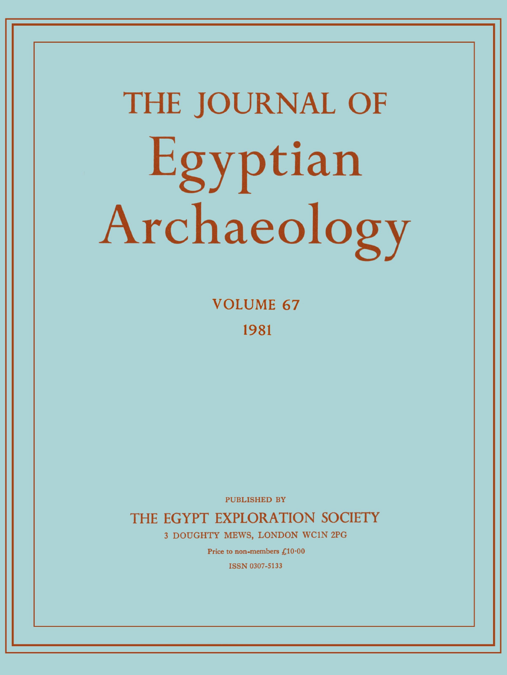# **THE JOURNAL OF**  Egyptian Archaeology

**VOLUME 6 7 1981** 

PUBLISHED BY

**THE EGYPT EXPLORATION SOCIETY** 

**3 DOUGHTY MEWS, LONDON WC1N 2PG** 

Price to non-members £10.00

ISSN 0307-5133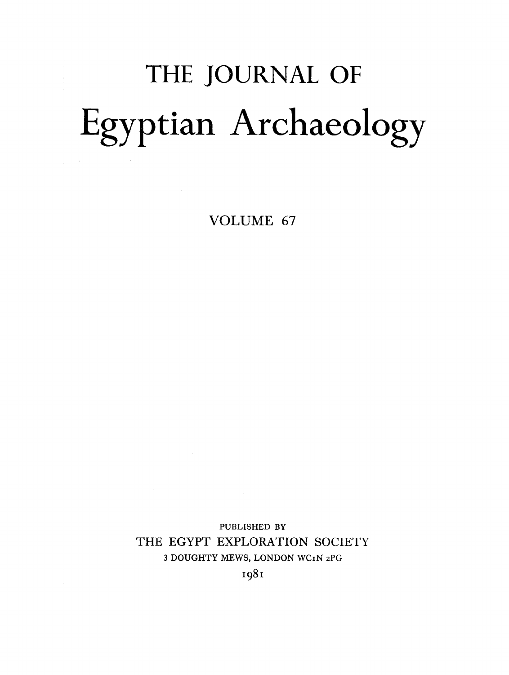# THE JOURNAL OF Egyptian Archaeology

VOLUME 67

PUBLISHED BY THE EGYPT EXPLORATION SOCIETY 3 **DOUGHTY MEWS, LONDON WCiN 2PG** 

1981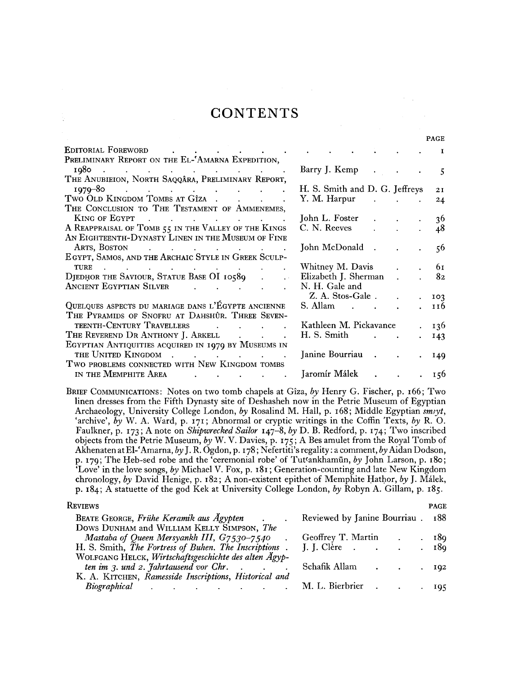### **CONTENTS**

|                                                                                                                                       |                                       | <b>PAGE</b> |
|---------------------------------------------------------------------------------------------------------------------------------------|---------------------------------------|-------------|
| Editorial Foreword<br>and the second control of the second second                                                                     |                                       | 1           |
| PRELIMINARY REPORT ON THE EL-'AMARNA EXPEDITION,                                                                                      |                                       |             |
| $1080$                                                                                                                                | Barry J. Kemp                         | 5           |
| THE ANUBIEION, NORTH SAQQÂRA, PRELIMINARY REPORT,                                                                                     |                                       |             |
| $1070 - 80$                                                                                                                           | H. S. Smith and D. G. Jeffreys        | 2I          |
| Two Old Kingdom Tombs at Gîza                                                                                                         | Y. M. Harpur                          | 24          |
| THE CONCLUSION TO THE TESTAMENT OF AMMENEMES,                                                                                         |                                       |             |
| KING OF EGYPT<br>the contract of the contract of the contract of the contract of the contract of                                      | John L. Foster<br>and the control of  | 36          |
| A REAPPRAISAL OF TOMB 55 IN THE VALLEY OF THE KINGS                                                                                   | C. N. Reeves                          | 48          |
| An Eighteenth-Dynasty Linen in the Museum of Fine                                                                                     |                                       |             |
| ARTS, BOSTON<br>$\mathcal{L}^{\mathcal{A}}$ . The contribution of the contribution of the contribution of $\mathcal{L}^{\mathcal{A}}$ | John McDonald.                        | 56          |
| EGYPT, SAMOS, AND THE ARCHAIC STYLE IN GREEK SCULP-                                                                                   |                                       |             |
| <b>TURE</b><br>$\mathcal{A}$ is a simple polarization of the simple state $\mathcal{A}$ is a simple state of $\mathcal{A}$            | Whitney M. Davis                      | 61          |
| DJEDHOR THE SAVIOUR, STATUE BASE OI 10589                                                                                             | Elizabeth J. Sherman                  | 82          |
| <b>ANCIENT EGYPTIAN SILVER</b>                                                                                                        | N. H. Gale and                        |             |
|                                                                                                                                       | Z. A. Stos-Gale.                      | 103         |
| QUELQUES ASPECTS DU MARIAGE DANS L'ÉGYPTE ANCIENNE                                                                                    | S. Allam<br>$\mathbf{r} = \mathbf{r}$ | 116         |
| THE PYRAMIDS OF SNOFRU AT DAHSHÛR. THREE SEVEN-                                                                                       |                                       |             |
| TEENTH-CENTURY TRAVELLERS<br>and the state of the state of the                                                                        | Kathleen M. Pickavance                | 136         |
| THE REVEREND DR ANTHONY J. ARKELL                                                                                                     | H. S. Smith                           | 143         |
| EGYPTIAN ANTIQUITIES ACQUIRED IN 1979 BY MUSEUMS IN                                                                                   |                                       |             |
| THE UNITED KINGDOM                                                                                                                    | Janine Bourriau.                      | 149         |
| TWO PROBLEMS CONNECTED WITH NEW KINGDOM TOMBS                                                                                         |                                       |             |
| IN THE MEMPHITE AREA                                                                                                                  | Jaromír Málek                         | 156         |
|                                                                                                                                       |                                       |             |

**B**RIEF **C**OMMUNICATIONS**: Notes on two tomb chapels at Giza,** *by* **Henry G. Fischer, p.** 166; **Two linen dresses from the Fifth Dynasty site of Deshasheh now in the Petrie Museum of Egyptian Archaeology, University College London,** *by* **Rosalind M. Hall, p.** 168; **Middle Egyptian** *smiyt,*  **'archive',** *by* **W. A. Ward, p.** 171 **; Abnormal or cryptic writings in the Coffin Texts,** *by* **R. O. Faulkner, p.** 173 ; **A note on** *Shipwrecked Sailor* 147-8, *by* **D. B. Redford, p.** 174 ; **Two inscribed objects from the Petrie Museum,** *by* **W. V . Davies, p.** 175 **; A Bes amulet from the Royal Tomb of Akhenaten at El-'Amarna,** *by* **J. R. Ogdon, p.** 178**; Nefertiti's regality: a comment,** *by* **Aidan Dodson, p.** 179 ; **The Heb-sed robe and the 'ceremonial robe' of Tut<ankhamun,** *by* **John Larson, p.** 180; **'Love' in the love songs,** *by* **Michael V . Fox, p.** 181 **; Generation-counting and late New Kingdom chronology,** *by* **David Henige, p.** 182; **A non-existent epithet of Memphite Hathor,** *by* **J. Malek, p.** 184; **A statuette of the god Kek at University College London,** *by* **Robyn A. Gillam, p.** 185.

#### **R**EVIEWS PAGE

| Reviewed by Janine Bourriau . 188 |
|-----------------------------------|
| . 189                             |
|                                   |
|                                   |
| 102                               |
|                                   |
| 105                               |
|                                   |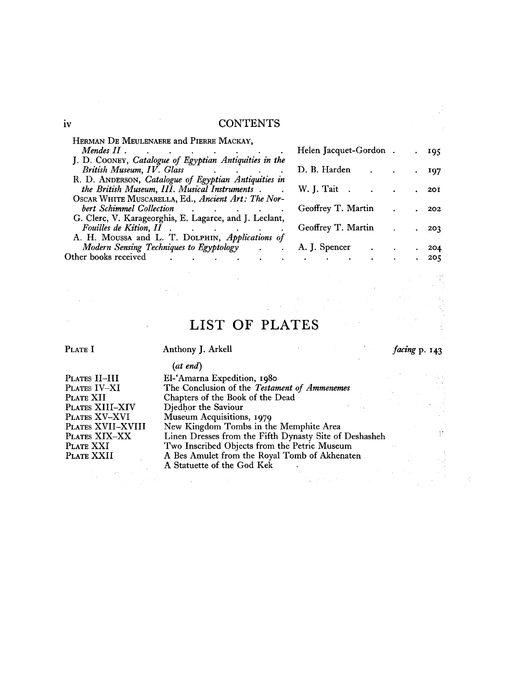#### **iv** CONTENTS

| HERMAN DE MEULENAERE and PIERRE MACKAY,                                                                                                                                                                                        |                                              |  |            |
|--------------------------------------------------------------------------------------------------------------------------------------------------------------------------------------------------------------------------------|----------------------------------------------|--|------------|
| Mendes $II$ .<br>the contract of the contract of the contract of the contract of the contract of the contract of the contract of                                                                                               | Helen Jacquet-Gordon.                        |  | 195        |
| J. D. COONEY, Catalogue of Egyptian Antiquities in the                                                                                                                                                                         |                                              |  |            |
| British Museum, IV. Glass                                                                                                                                                                                                      | D. B. Harden                                 |  | 197        |
| R. D. ANDERSON, Catalogue of Egyptian Antiquities in                                                                                                                                                                           |                                              |  |            |
| the British Museum, III. Musical Instruments.                                                                                                                                                                                  | W. J. Tait.<br>and the state of the state of |  | <b>20I</b> |
| OSCAR WHITE MUSCARELLA, Ed., Ancient Art: The Nor-                                                                                                                                                                             |                                              |  |            |
| bert Schimmel Collection and the contract of the contract of the contract of the contract of the contract of the contract of the contract of the contract of the contract of the contract of the contract of the contract of t | Geoffrey T. Martin                           |  | 202        |
| G. Clerc, V. Karageorghis, E. Lagarce, and J. Leclant,                                                                                                                                                                         |                                              |  |            |
|                                                                                                                                                                                                                                | Geoffrey T. Martin                           |  | 203        |
| A. H. Moussa and L. T. Dolphin, Applications of                                                                                                                                                                                |                                              |  |            |
| Modern Sensing Techniques to Egyptology<br>$\ddot{\phantom{0}}$                                                                                                                                                                | A. J. Spencer                                |  | 204        |
| Other books received<br><b>Contract Contract</b><br>and the state of the state                                                                                                                                                 | and the state of the state                   |  | 205        |
|                                                                                                                                                                                                                                |                                              |  |            |

## LIST OF PLATES

**P**LATE **I** 

 $\bar{\mathcal{A}}$ 

#### **Anthony J. Arkell**

*facing* **p.** 143

| PLATES II-III     |
|-------------------|
| PLATES IV-XI      |
| PLATE XII         |
| PLATES XIII-XIV   |
| PLATES XV-XVI     |
| PLATES XVII-XVIII |
| PLATES XIX-XX     |
| PLATE XXI         |
| PLATE XXII        |

 $\sim$ 

*(at end)* 

| <i>at ena</i>                                          |  |
|--------------------------------------------------------|--|
| El-'Amarna Expedition, 1980                            |  |
| The Conclusion of the Testament of Ammenemes           |  |
| Chapters of the Book of the Dead                       |  |
| Djedhor the Saviour                                    |  |
| Museum Acquisitions, 1979                              |  |
| New Kingdom Tombs in the Memphite Area                 |  |
| Linen Dresses from the Fifth Dynasty Site of Deshasheh |  |
| Two Inscribed Objects from the Petrie Museum           |  |
| A Bes Amulet from the Royal Tomb of Akhenaten          |  |
| A Statuette of the God Kek                             |  |

 $\hat{\boldsymbol{\cdot} }$